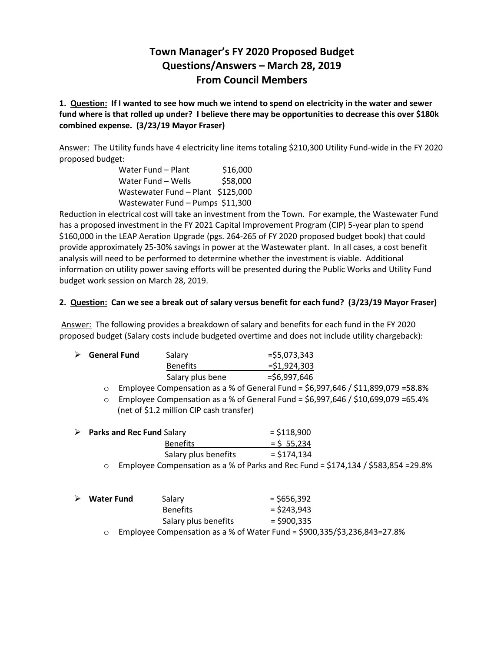# **Town Manager's FY 2020 Proposed Budget Questions/Answers – March 28, 2019 From Council Members**

**1. Question: If I wanted to see how much we intend to spend on electricity in the water and sewer fund where is that rolled up under? I believe there may be opportunities to decrease this over \$180k combined expense. (3/23/19 Mayor Fraser)**

Answer: The Utility funds have 4 electricity line items totaling \$210,300 Utility Fund-wide in the FY 2020 proposed budget:

| Water Fund – Plant                | \$16,000 |
|-----------------------------------|----------|
| Water Fund - Wells                | \$58,000 |
| Wastewater Fund - Plant \$125,000 |          |
| Wastewater Fund - Pumps \$11,300  |          |

Reduction in electrical cost will take an investment from the Town. For example, the Wastewater Fund has a proposed investment in the FY 2021 Capital Improvement Program (CIP) 5-year plan to spend \$160,000 in the LEAP Aeration Upgrade (pgs. 264-265 of FY 2020 proposed budget book) that could provide approximately 25-30% savings in power at the Wastewater plant. In all cases, a cost benefit analysis will need to be performed to determine whether the investment is viable. Additional information on utility power saving efforts will be presented during the Public Works and Utility Fund budget work session on March 28, 2019.

#### **2. Question: Can we see a break out of salary versus benefit for each fund? (3/23/19 Mayor Fraser)**

Answer: The following provides a breakdown of salary and benefits for each fund in the FY 2020 proposed budget (Salary costs include budgeted overtime and does not include utility chargeback):

| $\triangleright$ General Fund | Salary           | $=$ \$5,073,343 |
|-------------------------------|------------------|-----------------|
|                               | <b>Benefits</b>  | $=$ \$1,924,303 |
|                               | Salary plus bene | $= $6,997,646$  |

 $\circ$  Employee Compensation as a % of General Fund = \$6,997,646 / \$11,899,079 = 58.8%

 $\circ$  Employee Compensation as a % of General Fund = \$6,997,646 / \$10,699,079 = 65.4% (net of \$1.2 million CIP cash transfer)

|  | $\triangleright$ Parks and Rec Fund Salary                                         | $=$ \$118,900 |  |
|--|------------------------------------------------------------------------------------|---------------|--|
|  | <b>Benefits</b>                                                                    | $=$ \$ 55.234 |  |
|  | Salary plus benefits                                                               | $=$ \$174.134 |  |
|  | Employee Compensation as a % of Parks and Rec Fund = \$174,134 / \$583,854 = 29.8% |               |  |

| <b>Water Fund</b> | Salary               | $=$ \$656,392                                      |
|-------------------|----------------------|----------------------------------------------------|
|                   | <b>Benefits</b>      | $=$ \$243,943                                      |
|                   | Salary plus benefits | $=$ \$900,335                                      |
|                   |                      | $\mathbf{r}$ is a cut $\mathbf{r}$ in $\mathbf{r}$ |

o Employee Compensation as a % of Water Fund = \$900,335/\$3,236,843=27.8%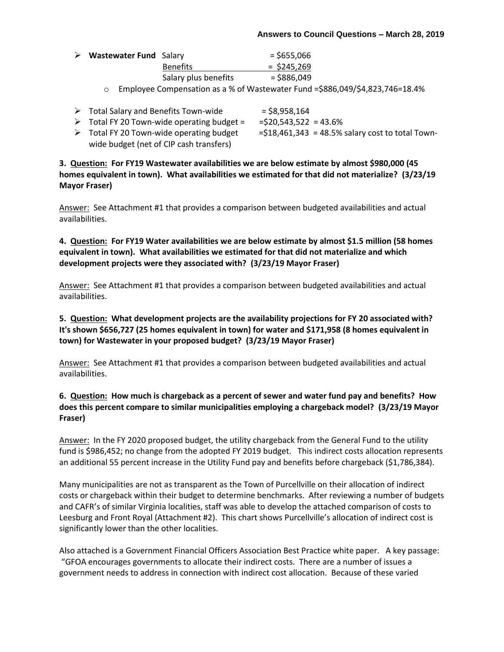| $\triangleright$ Wastewater Fund Salary |                      | $=$ \$655,066 |
|-----------------------------------------|----------------------|---------------|
|                                         | <b>Benefits</b>      | $=$ \$245,269 |
|                                         | Salary plus benefits | $=$ \$886,049 |

- o Employee Compensation as a % of Wastewater Fund =\$886,049/\$4,823,746=18.4%
- $\triangleright$  Total Salary and Benefits Town-wide = \$8,958,164
- $\triangleright$  Total FY 20 Town-wide operating budget = = \$20,543,522 = 43.6%
- $\triangleright$  Total FY 20 Town-wide operating budget =  $\frac{18,461,343}{ }$  = 48.5% salary cost to total Townwide budget (net of CIP cash transfers)

**3. Question: For FY19 Wastewater availabilities we are below estimate by almost \$980,000 (45 homes equivalent in town). What availabilities we estimated for that did not materialize? (3/23/19 Mayor Fraser)**

Answer: See Attachment #1 that provides a comparison between budgeted availabilities and actual availabilities.

**4. Question: For FY19 Water availabilities we are below estimate by almost \$1.5 million (58 homes equivalent in town). What availabilities we estimated for that did not materialize and which development projects were they associated with? (3/23/19 Mayor Fraser)**

Answer: See Attachment #1 that provides a comparison between budgeted availabilities and actual availabilities.

**5. Question: What development projects are the availability projections for FY 20 associated with? It's shown \$656,727 (25 homes equivalent in town) for water and \$171,958 (8 homes equivalent in town) for Wastewater in your proposed budget? (3/23/19 Mayor Fraser)**

Answer: See Attachment #1 that provides a comparison between budgeted availabilities and actual availabilities.

### **6. Question: How much is chargeback as a percent of sewer and water fund pay and benefits? How does this percent compare to similar municipalities employing a chargeback model? (3/23/19 Mayor Fraser)**

Answer: In the FY 2020 proposed budget, the utility chargeback from the General Fund to the utility fund is \$986,452; no change from the adopted FY 2019 budget. This indirect costs allocation represents an additional 55 percent increase in the Utility Fund pay and benefits before chargeback (\$1,786,384).

Many municipalities are not as transparent as the Town of Purcellville on their allocation of indirect costs or chargeback within their budget to determine benchmarks. After reviewing a number of budgets and CAFR's of similar Virginia localities, staff was able to develop the attached comparison of costs to Leesburg and Front Royal (Attachment #2). This chart shows Purcellville's allocation of indirect cost is significantly lower than the other localities.

Also attached is a Government Financial Officers Association Best Practice white paper. A key passage: "GFOA encourages governments to allocate their indirect costs. There are a number of issues a government needs to address in connection with indirect cost allocation. Because of these varied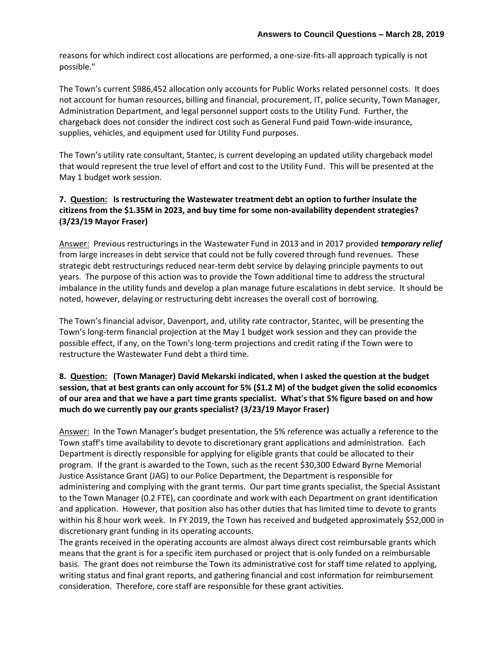reasons for which indirect cost allocations are performed, a one-size-fits-all approach typically is not possible."

The Town's current \$986,452 allocation only accounts for Public Works related personnel costs. It does not account for human resources, billing and financial, procurement, IT, police security, Town Manager, Administration Department, and legal personnel support costs to the Utility Fund. Further, the chargeback does not consider the indirect cost such as General Fund paid Town-wide insurance, supplies, vehicles, and equipment used for Utility Fund purposes.

The Town's utility rate consultant, Stantec, is current developing an updated utility chargeback model that would represent the true level of effort and cost to the Utility Fund. This will be presented at the May 1 budget work session.

# **7. Question: Is restructuring the Wastewater treatment debt an option to further insulate the citizens from the \$1.35M in 2023, and buy time for some non-availability dependent strategies? (3/23/19 Mayor Fraser)**

Answer: Previous restructurings in the Wastewater Fund in 2013 and in 2017 provided *temporary relief* from large increases in debt service that could not be fully covered through fund revenues. These strategic debt restructurings reduced near-term debt service by delaying principle payments to out years. The purpose of this action was to provide the Town additional time to address the structural imbalance in the utility funds and develop a plan manage future escalations in debt service. It should be noted, however, delaying or restructuring debt increases the overall cost of borrowing.

The Town's financial advisor, Davenport, and, utility rate contractor, Stantec, will be presenting the Town's long-term financial projection at the May 1 budget work session and they can provide the possible effect, if any, on the Town's long-term projections and credit rating if the Town were to restructure the Wastewater Fund debt a third time.

### **8. Question: (Town Manager) David Mekarski indicated, when I asked the question at the budget session, that at best grants can only account for 5% (\$1.2 M) of the budget given the solid economics of our area and that we have a part time grants specialist. What's that 5% figure based on and how much do we currently pay our grants specialist? (3/23/19 Mayor Fraser)**

Answer: In the Town Manager's budget presentation, the 5% reference was actually a reference to the Town staff's time availability to devote to discretionary grant applications and administration. Each Department is directly responsible for applying for eligible grants that could be allocated to their program. If the grant is awarded to the Town, such as the recent \$30,300 Edward Byrne Memorial Justice Assistance Grant (JAG) to our Police Department, the Department is responsible for administering and complying with the grant terms. Our part time grants specialist, the Special Assistant to the Town Manager (0.2 FTE), can coordinate and work with each Department on grant identification and application. However, that position also has other duties that has limited time to devote to grants within his 8 hour work week. In FY 2019, the Town has received and budgeted approximately \$52,000 in discretionary grant funding in its operating accounts.

The grants received in the operating accounts are almost always direct cost reimbursable grants which means that the grant is for a specific item purchased or project that is only funded on a reimbursable basis. The grant does not reimburse the Town its administrative cost for staff time related to applying, writing status and final grant reports, and gathering financial and cost information for reimbursement consideration. Therefore, core staff are responsible for these grant activities.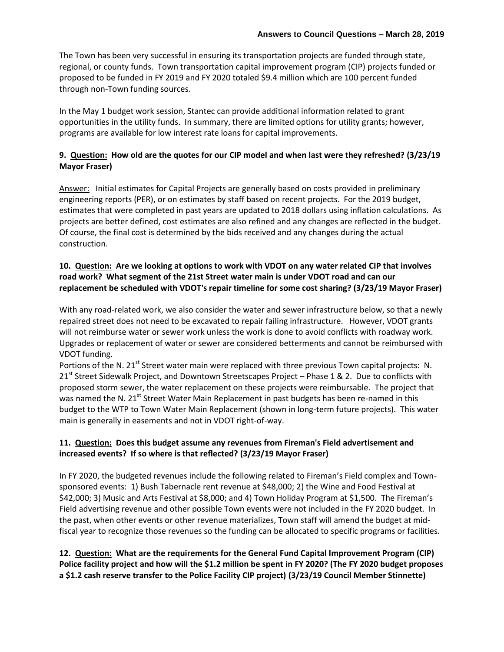The Town has been very successful in ensuring its transportation projects are funded through state, regional, or county funds. Town transportation capital improvement program (CIP) projects funded or proposed to be funded in FY 2019 and FY 2020 totaled \$9.4 million which are 100 percent funded through non-Town funding sources.

In the May 1 budget work session, Stantec can provide additional information related to grant opportunities in the utility funds. In summary, there are limited options for utility grants; however, programs are available for low interest rate loans for capital improvements.

### **9. Question: How old are the quotes for our CIP model and when last were they refreshed? (3/23/19 Mayor Fraser)**

Answer: Initial estimates for Capital Projects are generally based on costs provided in preliminary engineering reports (PER), or on estimates by staff based on recent projects. For the 2019 budget, estimates that were completed in past years are updated to 2018 dollars using inflation calculations. As projects are better defined, cost estimates are also refined and any changes are reflected in the budget. Of course, the final cost is determined by the bids received and any changes during the actual construction.

# **10. Question: Are we looking at options to work with VDOT on any water related CIP that involves road work? What segment of the 21st Street water main is under VDOT road and can our replacement be scheduled with VDOT's repair timeline for some cost sharing? (3/23/19 Mayor Fraser)**

With any road-related work, we also consider the water and sewer infrastructure below, so that a newly repaired street does not need to be excavated to repair failing infrastructure. However, VDOT grants will not reimburse water or sewer work unless the work is done to avoid conflicts with roadway work. Upgrades or replacement of water or sewer are considered betterments and cannot be reimbursed with VDOT funding.

Portions of the N. 21<sup>st</sup> Street water main were replaced with three previous Town capital projects: N.  $21<sup>st</sup>$  Street Sidewalk Project, and Downtown Streetscapes Project – Phase 1 & 2. Due to conflicts with proposed storm sewer, the water replacement on these projects were reimbursable. The project that was named the N. 21<sup>st</sup> Street Water Main Replacement in past budgets has been re-named in this budget to the WTP to Town Water Main Replacement (shown in long-term future projects). This water main is generally in easements and not in VDOT right-of-way.

### **11. Question: Does this budget assume any revenues from Fireman's Field advertisement and increased events? If so where is that reflected? (3/23/19 Mayor Fraser)**

In FY 2020, the budgeted revenues include the following related to Fireman's Field complex and Townsponsored events: 1) Bush Tabernacle rent revenue at \$48,000; 2) the Wine and Food Festival at \$42,000; 3) Music and Arts Festival at \$8,000; and 4) Town Holiday Program at \$1,500. The Fireman's Field advertising revenue and other possible Town events were not included in the FY 2020 budget. In the past, when other events or other revenue materializes, Town staff will amend the budget at midfiscal year to recognize those revenues so the funding can be allocated to specific programs or facilities.

# **12. Question: What are the requirements for the General Fund Capital Improvement Program (CIP) Police facility project and how will the \$1.2 million be spent in FY 2020? (The FY 2020 budget proposes a \$1.2 cash reserve transfer to the Police Facility CIP project) (3/23/19 Council Member Stinnette)**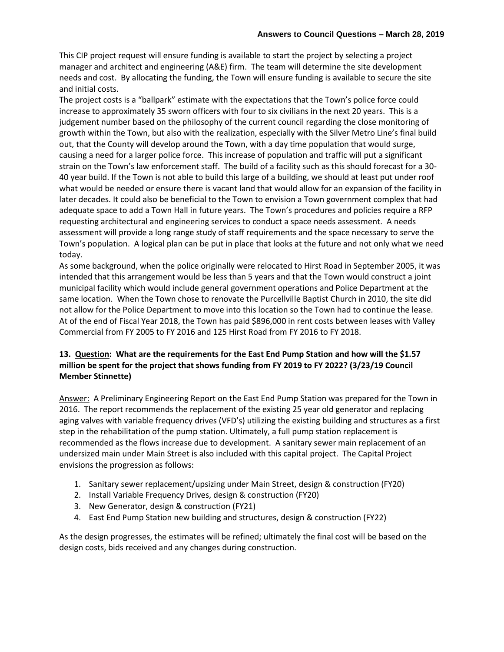This CIP project request will ensure funding is available to start the project by selecting a project manager and architect and engineering (A&E) firm. The team will determine the site development needs and cost. By allocating the funding, the Town will ensure funding is available to secure the site and initial costs.

The project costs is a "ballpark" estimate with the expectations that the Town's police force could increase to approximately 35 sworn officers with four to six civilians in the next 20 years. This is a judgement number based on the philosophy of the current council regarding the close monitoring of growth within the Town, but also with the realization, especially with the Silver Metro Line's final build out, that the County will develop around the Town, with a day time population that would surge, causing a need for a larger police force. This increase of population and traffic will put a significant strain on the Town's law enforcement staff. The build of a facility such as this should forecast for a 30- 40 year build. If the Town is not able to build this large of a building, we should at least put under roof what would be needed or ensure there is vacant land that would allow for an expansion of the facility in later decades. It could also be beneficial to the Town to envision a Town government complex that had adequate space to add a Town Hall in future years. The Town's procedures and policies require a RFP requesting architectural and engineering services to conduct a space needs assessment. A needs assessment will provide a long range study of staff requirements and the space necessary to serve the Town's population. A logical plan can be put in place that looks at the future and not only what we need today.

As some background, when the police originally were relocated to Hirst Road in September 2005, it was intended that this arrangement would be less than 5 years and that the Town would construct a joint municipal facility which would include general government operations and Police Department at the same location. When the Town chose to renovate the Purcellville Baptist Church in 2010, the site did not allow for the Police Department to move into this location so the Town had to continue the lease. At of the end of Fiscal Year 2018, the Town has paid \$896,000 in rent costs between leases with Valley Commercial from FY 2005 to FY 2016 and 125 Hirst Road from FY 2016 to FY 2018.

# **13. Question: What are the requirements for the East End Pump Station and how will the \$1.57 million be spent for the project that shows funding from FY 2019 to FY 2022? (3/23/19 Council Member Stinnette)**

Answer: A Preliminary Engineering Report on the East End Pump Station was prepared for the Town in 2016. The report recommends the replacement of the existing 25 year old generator and replacing aging valves with variable frequency drives (VFD's) utilizing the existing building and structures as a first step in the rehabilitation of the pump station. Ultimately, a full pump station replacement is recommended as the flows increase due to development. A sanitary sewer main replacement of an undersized main under Main Street is also included with this capital project. The Capital Project envisions the progression as follows:

- 1. Sanitary sewer replacement/upsizing under Main Street, design & construction (FY20)
- 2. Install Variable Frequency Drives, design & construction (FY20)
- 3. New Generator, design & construction (FY21)
- 4. East End Pump Station new building and structures, design & construction (FY22)

As the design progresses, the estimates will be refined; ultimately the final cost will be based on the design costs, bids received and any changes during construction.